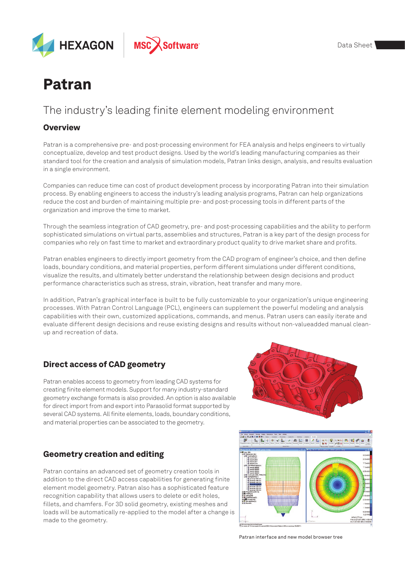

# Patran

# The industry's leading finite element modeling environment

#### **Overview**

Patran is a comprehensive pre- and post-processing environment for FEA analysis and helps engineers to virtually conceptualize, develop and test product designs. Used by the world's leading manufacturing companies as their standard tool for the creation and analysis of simulation models, Patran links design, analysis, and results evaluation in a single environment.

Companies can reduce time can cost of product development process by incorporating Patran into their simulation process. By enabling engineers to access the industry's leading analysis programs, Patran can help organizations reduce the cost and burden of maintaining multiple pre- and post-processing tools in different parts of the organization and improve the time to market.

Through the seamless integration of CAD geometry, pre- and post-processing capabilities and the ability to perform sophisticated simulations on virtual parts, assemblies and structures, Patran is a key part of the design process for companies who rely on fast time to market and extraordinary product quality to drive market share and profits.

Patran enables engineers to directly import geometry from the CAD program of engineer's choice, and then define loads, boundary conditions, and material properties, perform different simulations under different conditions, visualize the results, and ultimately better understand the relationship between design decisions and product performance characteristics such as stress, strain, vibration, heat transfer and many more.

In addition, Patran's graphical interface is built to be fully customizable to your organization's unique engineering processes. With Patran Control Language (PCL), engineers can supplement the powerful modeling and analysis capabilities with their own, customized applications, commands, and menus. Patran users can easily iterate and evaluate different design decisions and reuse existing designs and results without non-valueadded manual cleanup and recreation of data.

# Direct access of CAD geometry

Patran enables access to geometry from leading CAD systems for creating finite element models. Support for many industry-standard geometry exchange formats is also provided. An option is also available for direct import from and export into Parasolid format supported by several CAD systems. All finite elements, loads, boundary conditions, and material properties can be associated to the geometry.

# Geometry creation and editing

Patran contains an advanced set of geometry creation tools in addition to the direct CAD access capabilities for generating finite element model geometry. Patran also has a sophisticated feature recognition capability that allows users to delete or edit holes, fillets, and chamfers. For 3D solid geometry, existing meshes and loads will be automatically re-applied to the model after a change is made to the geometry.





Patran interface and new model browser tree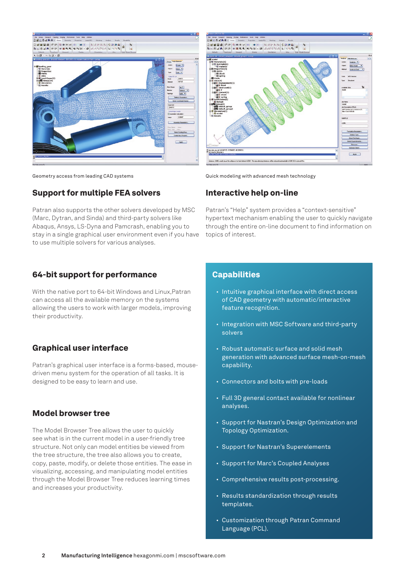

Geometry access from leading CAD systems  $\qquad \qquad \qquad$  Quick modeling with advanced mesh technology

### Support for multiple FEA solvers

Patran also supports the other solvers developed by MSC (Marc, Dytran, and Sinda) and third-party solvers like Abaqus, Ansys, LS-Dyna and Pamcrash, enabling you to stay in a single graphical user environment even if you have to use multiple solvers for various analyses.

#### 64-bit support for performance

With the native port to 64-bit Windows and Linux,Patran can access all the available memory on the systems allowing the users to work with larger models, improving their productivity.

#### Graphical user interface

Patran's graphical user interface is a forms-based, mousedriven menu system for the operation of all tasks. It is designed to be easy to learn and use.

#### Model browser tree

The Model Browser Tree allows the user to quickly see what is in the current model in a user-friendly tree structure. Not only can model entities be viewed from the tree structure, the tree also allows you to create, copy, paste, modify, or delete those entities. The ease in visualizing, accessing, and manipulating model entities through the Model Browser Tree reduces learning times and increases your productivity.



### Interactive help on-line

Patran's "Help" system provides a "context-sensitive" hypertext mechanism enabling the user to quickly navigate through the entire on-line document to find information on topics of interest.

#### **Capabilities**

- Intuitive graphical interface with direct access of CAD geometry with automatic/interactive feature recognition.
- Integration with MSC Software and third-party solvers
- Robust automatic surface and solid mesh generation with advanced surface mesh-on-mesh capability.
- Connectors and bolts with pre-loads
- Full 3D general contact available for nonlinear analyses.
- Support for Nastran's Design Optimization and Topology Optimization.
- Support for Nastran's Superelements
- Support for Marc's Coupled Analyses
- Comprehensive results post-processing.
- Results standardization through results templates.
- Customization through Patran Command Language (PCL).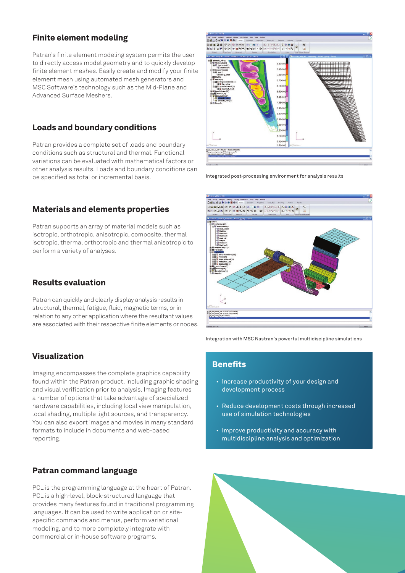### Finite element modeling

Patran's finite element modeling system permits the user to directly access model geometry and to quickly develop finite element meshes. Easily create and modify your finite element mesh using automated mesh generators and MSC Software's technology such as the Mid-Plane and Advanced Surface Meshers.

### Loads and boundary conditions

Patran provides a complete set of loads and boundary conditions such as structural and thermal. Functional variations can be evaluated with mathematical factors or other analysis results. Loads and boundary conditions can be specified as total or incremental basis.

#### Materials and elements properties

Patran supports an array of material models such as isotropic, orthotropic, anisotropic, composite, thermal isotropic, thermal orthotropic and thermal anisotropic to perform a variety of analyses.

#### Results evaluation

Patran can quickly and clearly display analysis results in structural, thermal, fatigue, fluid, magnetic terms, or in relation to any other application where the resultant values are associated with their respective finite elements or nodes.

#### Visualization

Imaging encompasses the complete graphics capability found within the Patran product, including graphic shading and visual verification prior to analysis. Imaging features a number of options that take advantage of specialized hardware capabilities, including local view manipulation, local shading, multiple light sources, and transparency. You can also export images and movies in many standard formats to include in documents and web-based reporting.

#### Patran command language

PCL is the programming language at the heart of Patran. PCL is a high-level, block-structured language that provides many features found in traditional programming languages. It can be used to write application or sitespecific commands and menus, perform variational modeling, and to more completely integrate with commercial or in-house software programs.



Integrated post-processing environment for analysis results



Integration with MSC Nastran's powerful multidiscipline simulations

# **Benefits**

- Increase productivity of your design and development process
- Reduce development costs through increased use of simulation technologies
- Improve productivity and accuracy with multidiscipline analysis and optimization